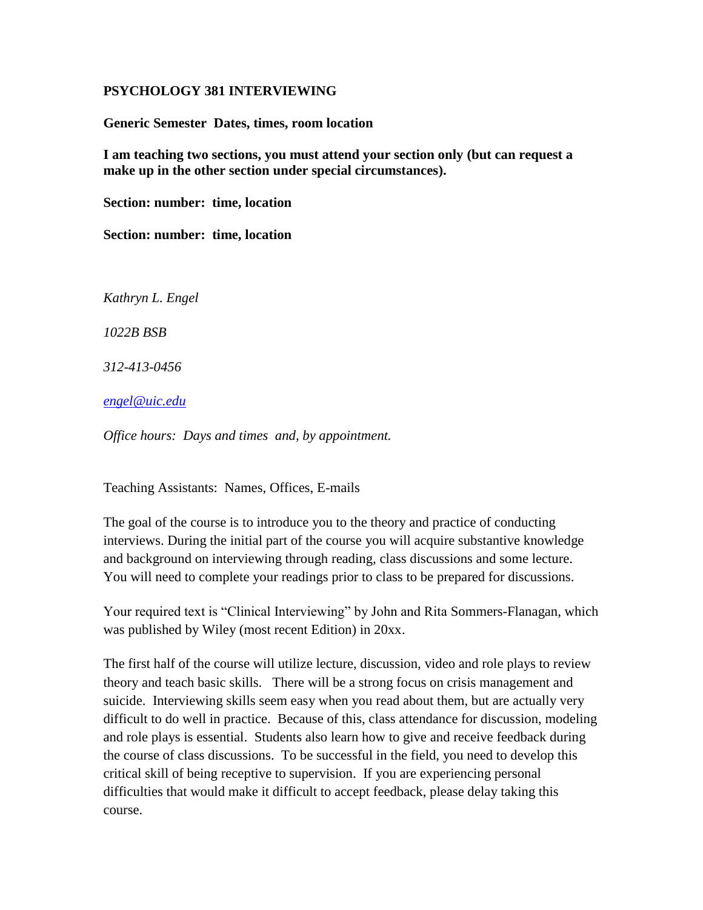#### **PSYCHOLOGY 381 INTERVIEWING**

**Generic Semester Dates, times, room location**

**I am teaching two sections, you must attend your section only (but can request a make up in the other section under special circumstances).** 

**Section: number: time, location**

**Section: number: time, location**

*Kathryn L. Engel* 

*1022B BSB*

*312-413-0456*

*[engel@uic.edu](mailto:engel@uic.edu)*

*Office hours: Days and times and, by appointment.*

Teaching Assistants: Names, Offices, E-mails

The goal of the course is to introduce you to the theory and practice of conducting interviews. During the initial part of the course you will acquire substantive knowledge and background on interviewing through reading, class discussions and some lecture. You will need to complete your readings prior to class to be prepared for discussions.

Your required text is "Clinical Interviewing" by John and Rita Sommers-Flanagan, which was published by Wiley (most recent Edition) in 20xx.

The first half of the course will utilize lecture, discussion, video and role plays to review theory and teach basic skills. There will be a strong focus on crisis management and suicide. Interviewing skills seem easy when you read about them, but are actually very difficult to do well in practice. Because of this, class attendance for discussion, modeling and role plays is essential. Students also learn how to give and receive feedback during the course of class discussions. To be successful in the field, you need to develop this critical skill of being receptive to supervision. If you are experiencing personal difficulties that would make it difficult to accept feedback, please delay taking this course.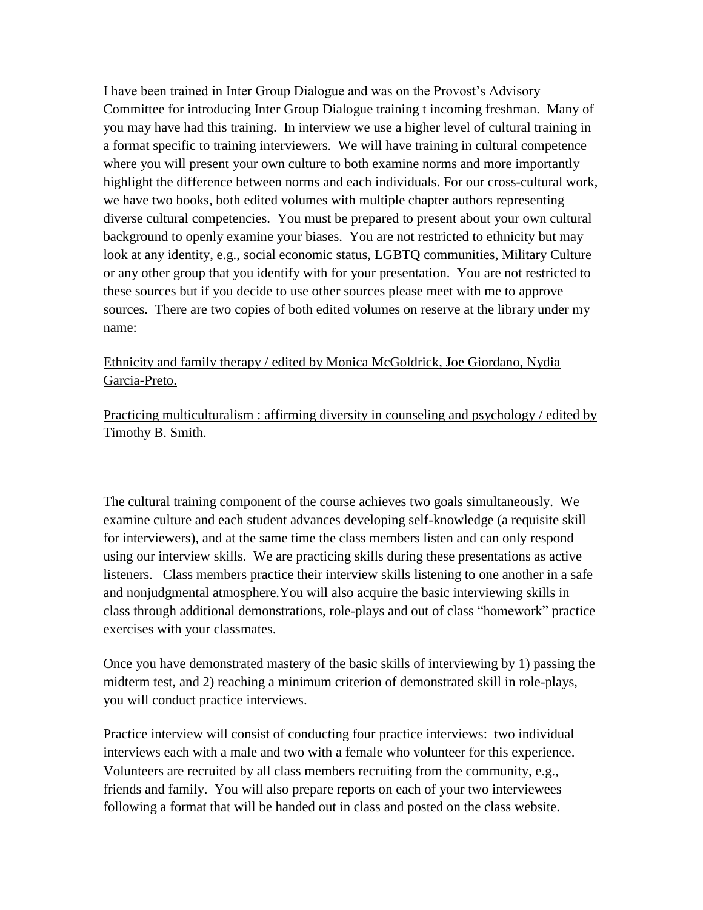I have been trained in Inter Group Dialogue and was on the Provost's Advisory Committee for introducing Inter Group Dialogue training t incoming freshman. Many of you may have had this training. In interview we use a higher level of cultural training in a format specific to training interviewers. We will have training in cultural competence where you will present your own culture to both examine norms and more importantly highlight the difference between norms and each individuals. For our cross-cultural work, we have two books, both edited volumes with multiple chapter authors representing diverse cultural competencies. You must be prepared to present about your own cultural background to openly examine your biases. You are not restricted to ethnicity but may look at any identity, e.g., social economic status, LGBTQ communities, Military Culture or any other group that you identify with for your presentation. You are not restricted to these sources but if you decide to use other sources please meet with me to approve sources. There are two copies of both edited volumes on reserve at the library under my name:

### [Ethnicity and family therapy / edited by Monica McGoldrick, Joe Giordano, Nydia](http://vufind.carli.illinois.edu/vf-uic/Record/uic_1869153)  [Garcia-Preto.](http://vufind.carli.illinois.edu/vf-uic/Record/uic_1869153)

[Practicing multiculturalism : affirming diversity in counseling and psychology / edited by](http://vufind.carli.illinois.edu/vf-uic/Record/uic_2783086)  [Timothy B. Smith.](http://vufind.carli.illinois.edu/vf-uic/Record/uic_2783086)

The cultural training component of the course achieves two goals simultaneously. We examine culture and each student advances developing self-knowledge (a requisite skill for interviewers), and at the same time the class members listen and can only respond using our interview skills. We are practicing skills during these presentations as active listeners. Class members practice their interview skills listening to one another in a safe and nonjudgmental atmosphere.You will also acquire the basic interviewing skills in class through additional demonstrations, role-plays and out of class "homework" practice exercises with your classmates.

Once you have demonstrated mastery of the basic skills of interviewing by 1) passing the midterm test, and 2) reaching a minimum criterion of demonstrated skill in role-plays, you will conduct practice interviews.

Practice interview will consist of conducting four practice interviews: two individual interviews each with a male and two with a female who volunteer for this experience. Volunteers are recruited by all class members recruiting from the community, e.g., friends and family. You will also prepare reports on each of your two interviewees following a format that will be handed out in class and posted on the class website.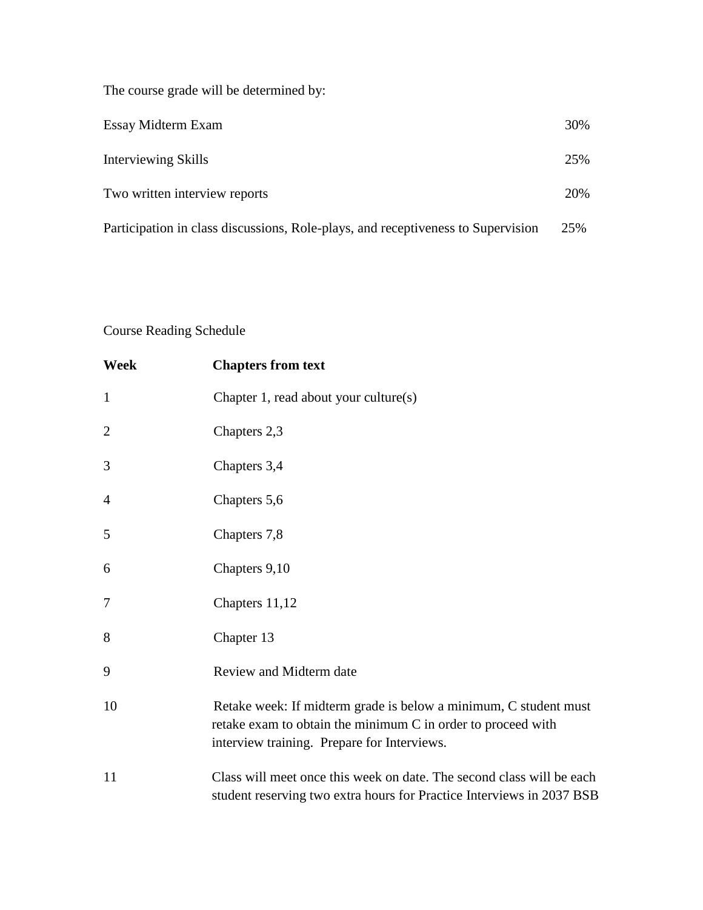The course grade will be determined by:

| Essay Midterm Exam                                                               | 30% |
|----------------------------------------------------------------------------------|-----|
| Interviewing Skills                                                              | 25% |
| Two written interview reports                                                    | 20% |
| Participation in class discussions, Role-plays, and receptiveness to Supervision | 25% |

### Course Reading Schedule

| Week           | <b>Chapters from text</b>                                                                                                                                                       |
|----------------|---------------------------------------------------------------------------------------------------------------------------------------------------------------------------------|
| $\mathbf{1}$   | Chapter 1, read about your culture(s)                                                                                                                                           |
| $\overline{2}$ | Chapters 2,3                                                                                                                                                                    |
| 3              | Chapters 3,4                                                                                                                                                                    |
| $\overline{4}$ | Chapters 5,6                                                                                                                                                                    |
| 5              | Chapters 7,8                                                                                                                                                                    |
| 6              | Chapters 9,10                                                                                                                                                                   |
| 7              | Chapters 11,12                                                                                                                                                                  |
| 8              | Chapter 13                                                                                                                                                                      |
| 9              | Review and Midterm date                                                                                                                                                         |
| 10             | Retake week: If midterm grade is below a minimum, C student must<br>retake exam to obtain the minimum C in order to proceed with<br>interview training. Prepare for Interviews. |
| 11             | Class will meet once this week on date. The second class will be each<br>student reserving two extra hours for Practice Interviews in 2037 BSB                                  |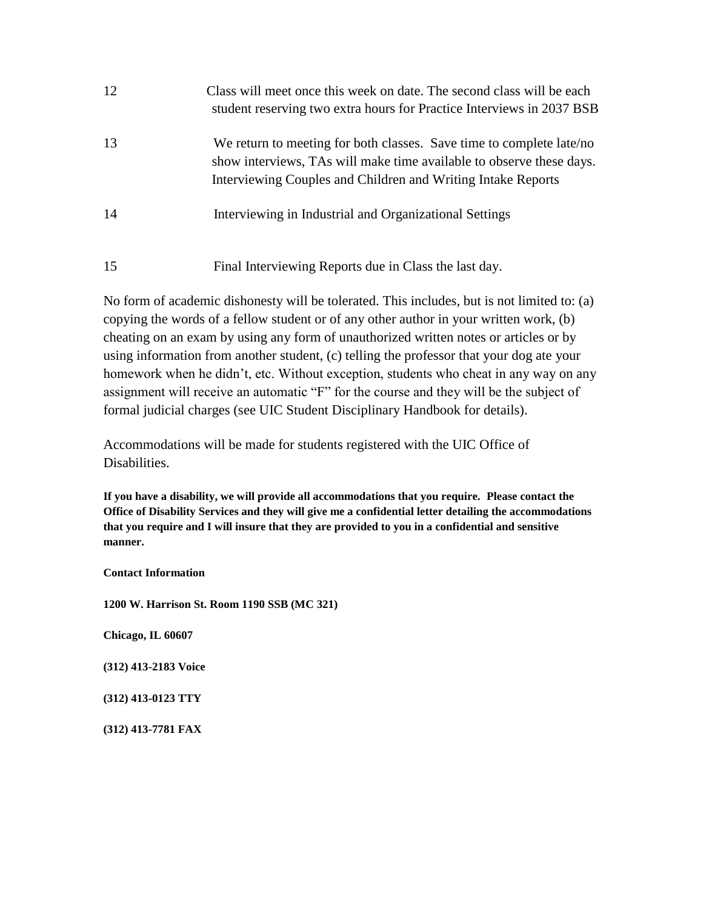| 12 | Class will meet once this week on date. The second class will be each<br>student reserving two extra hours for Practice Interviews in 2037 BSB                                                               |
|----|--------------------------------------------------------------------------------------------------------------------------------------------------------------------------------------------------------------|
| 13 | We return to meeting for both classes. Save time to complete late/no<br>show interviews, TAs will make time available to observe these days.<br>Interviewing Couples and Children and Writing Intake Reports |
| 14 | Interviewing in Industrial and Organizational Settings                                                                                                                                                       |
| 15 | Final Interviewing Reports due in Class the last day.                                                                                                                                                        |

No form of academic dishonesty will be tolerated. This includes, but is not limited to: (a) copying the words of a fellow student or of any other author in your written work, (b) cheating on an exam by using any form of unauthorized written notes or articles or by using information from another student, (c) telling the professor that your dog ate your homework when he didn't, etc. Without exception, students who cheat in any way on any assignment will receive an automatic "F" for the course and they will be the subject of formal judicial charges (see UIC Student Disciplinary Handbook for details).

Accommodations will be made for students registered with the UIC Office of Disabilities.

**If you have a disability, we will provide all accommodations that you require. Please contact the Office of Disability Services and they will give me a confidential letter detailing the accommodations that you require and I will insure that they are provided to you in a confidential and sensitive manner.** 

**Contact Information**

**1200 W. Harrison St. Room 1190 SSB (MC 321)** 

**Chicago, IL 60607**

**(312) 413-2183 Voice** 

**(312) 413-0123 TTY**

**(312) 413-7781 FAX**